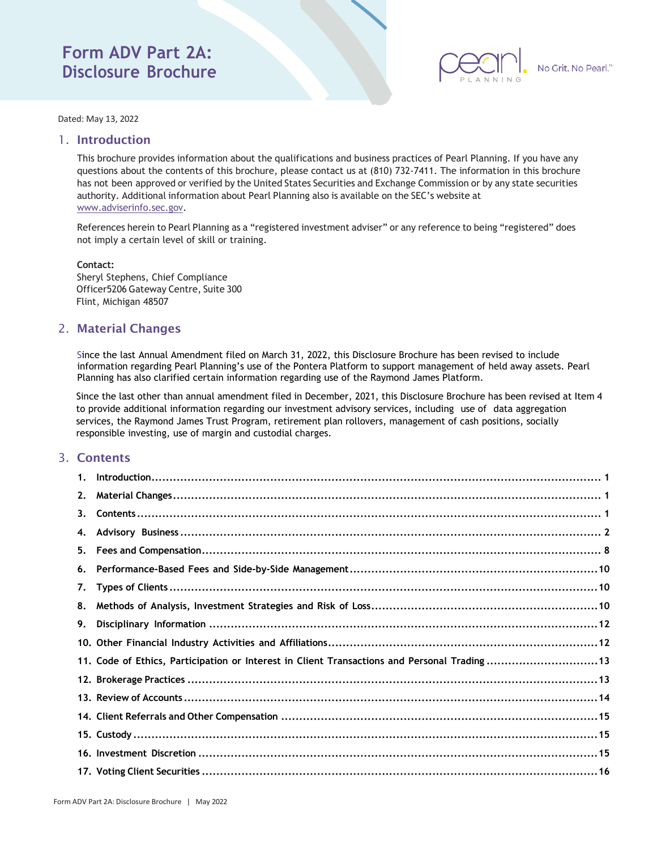

<span id="page-0-0"></span>Dated: May 13, 2022

#### 1. Introduction

This brochure provides information about the qualifications and business practices of Pearl Planning. If you have any questions about the contents of this brochure, please contact us at (810) 732-7411. The information in this brochure has not been approved or verified by the United States Securities and Exchange Commission or by any state securities authority. Additional information about Pearl Planning also is available on the SEC's website at [www.adviserinfo.sec.gov.](http://www.adviserinfo.sec.gov/)

References herein to Pearl Planning as a "registered investment adviser" or any reference to being "registered" does not imply a certain level of skill or training.

**Contact:**

Sheryl Stephens, Chief Compliance Officer5206 Gateway Centre, Suite 300 Flint, Michigan 48507

### <span id="page-0-1"></span>2. Material Changes

Since the last Annual Amendment filed on March 31, 2022, this Disclosure Brochure has been revised to include information regarding Pearl Planning's use of the Pontera Platform to support management of held away assets. Pearl Planning has also clarified certain information regarding use of the Raymond James Platform.

Since the last other than annual amendment filed in December, 2021, this Disclosure Brochure has been revised at Item 4 to provide additional information regarding our investment advisory services, including use of data aggregation services, the Raymond James Trust Program, retirement plan rollovers, management of cash positions, socially responsible investing, use of margin and custodial charges.

### <span id="page-0-2"></span>3. Contents

| 1. |                                                                                             |  |
|----|---------------------------------------------------------------------------------------------|--|
| 2. |                                                                                             |  |
| 3. |                                                                                             |  |
| 4. |                                                                                             |  |
| 5. |                                                                                             |  |
| 6. |                                                                                             |  |
| 7. |                                                                                             |  |
| 8. |                                                                                             |  |
| 9. |                                                                                             |  |
|    |                                                                                             |  |
|    | 11. Code of Ethics, Participation or Interest in Client Transactions and Personal Trading13 |  |
|    |                                                                                             |  |
|    |                                                                                             |  |
|    |                                                                                             |  |
|    |                                                                                             |  |
|    |                                                                                             |  |
|    |                                                                                             |  |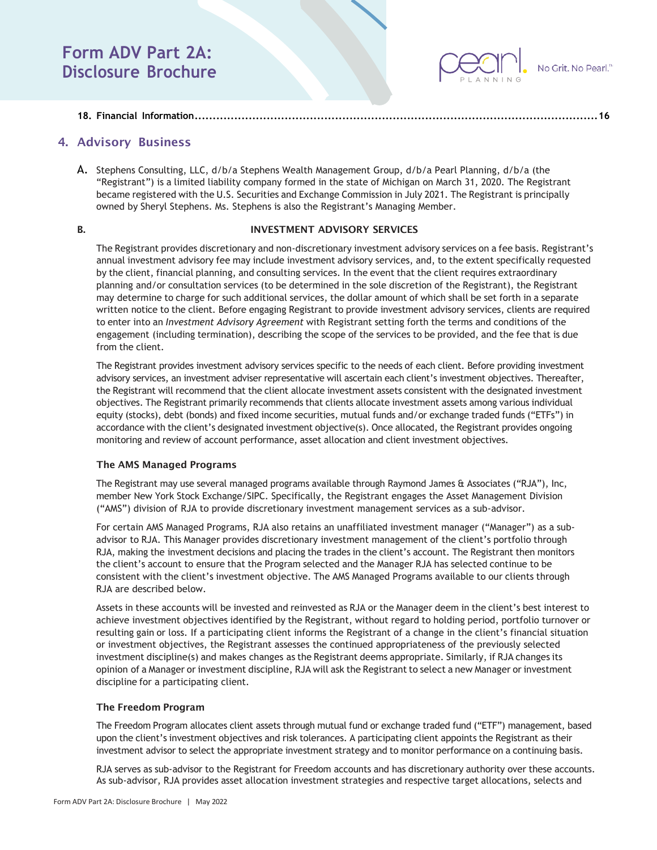**18. Financial [Information................................................................................................................16](#page-15-1)**

No Grit, No Pearl."

### <span id="page-1-0"></span>4. Advisory Business

A. Stephens Consulting, LLC, d/b/a Stephens Wealth Management Group, d/b/a Pearl Planning, d/b/a (the "Registrant") is a limited liability company formed in the state of Michigan on March 31, 2020. The Registrant became registered with the U.S. Securities and Exchange Commission in July 2021. The Registrant is principally owned by Sheryl Stephens. Ms. Stephens is also the Registrant's Managing Member.

#### B. **INVESTMENT ADVISORY SERVICES**

The Registrant provides discretionary and non-discretionary investment advisory services on a fee basis. Registrant's annual investment advisory fee may include investment advisory services, and, to the extent specifically requested by the client, financial planning, and consulting services. In the event that the client requires extraordinary planning and/or consultation services (to be determined in the sole discretion of the Registrant), the Registrant may determine to charge for such additional services, the dollar amount of which shall be set forth in a separate written notice to the client. Before engaging Registrant to provide investment advisory services, clients are required to enter into an *Investment Advisory Agreement* with Registrant setting forth the terms and conditions of the engagement (including termination), describing the scope of the services to be provided, and the fee that is due from the client.

The Registrant provides investment advisory services specific to the needs of each client. Before providing investment advisory services, an investment adviser representative will ascertain each client's investment objectives. Thereafter, the Registrant will recommend that the client allocate investment assets consistent with the designated investment objectives. The Registrant primarily recommends that clients allocate investment assets among various individual equity (stocks), debt (bonds) and fixed income securities, mutual funds and/or exchange traded funds ("ETFs") in accordance with the client's designated investment objective(s). Once allocated, the Registrant provides ongoing monitoring and review of account performance, asset allocation and client investment objectives.

#### The AMS Managed Programs

The Registrant may use several managed programs available through Raymond James & Associates ("RJA"), Inc, member New York Stock Exchange/SIPC. Specifically, the Registrant engages the Asset Management Division ("AMS") division of RJA to provide discretionary investment management services as a sub-advisor.

For certain AMS Managed Programs, RJA also retains an unaffiliated investment manager ("Manager") as a subadvisor to RJA. This Manager provides discretionary investment management of the client's portfolio through RJA, making the investment decisions and placing the trades in the client's account. The Registrant then monitors the client's account to ensure that the Program selected and the Manager RJA has selected continue to be consistent with the client's investment objective. The AMS Managed Programs available to our clients through RJA are described below.

Assets in these accounts will be invested and reinvested as RJA or the Manager deem in the client's best interest to achieve investment objectives identified by the Registrant, without regard to holding period, portfolio turnover or resulting gain or loss. If a participating client informs the Registrant of a change in the client's financial situation or investment objectives, the Registrant assesses the continued appropriateness of the previously selected investment discipline(s) and makes changes as the Registrant deems appropriate. Similarly, if RJA changes its opinion of a Manager or investment discipline, RJA will ask the Registrant to select a new Manager or investment discipline for a participating client.

#### The Freedom Program

The Freedom Program allocates client assets through mutual fund or exchange traded fund ("ETF") management, based upon the client's investment objectives and risk tolerances. A participating client appoints the Registrant as their investment advisor to select the appropriate investment strategy and to monitor performance on a continuing basis.

RJA serves as sub-advisor to the Registrant for Freedom accounts and has discretionary authority over these accounts. As sub-advisor, RJA provides asset allocation investment strategies and respective target allocations, selects and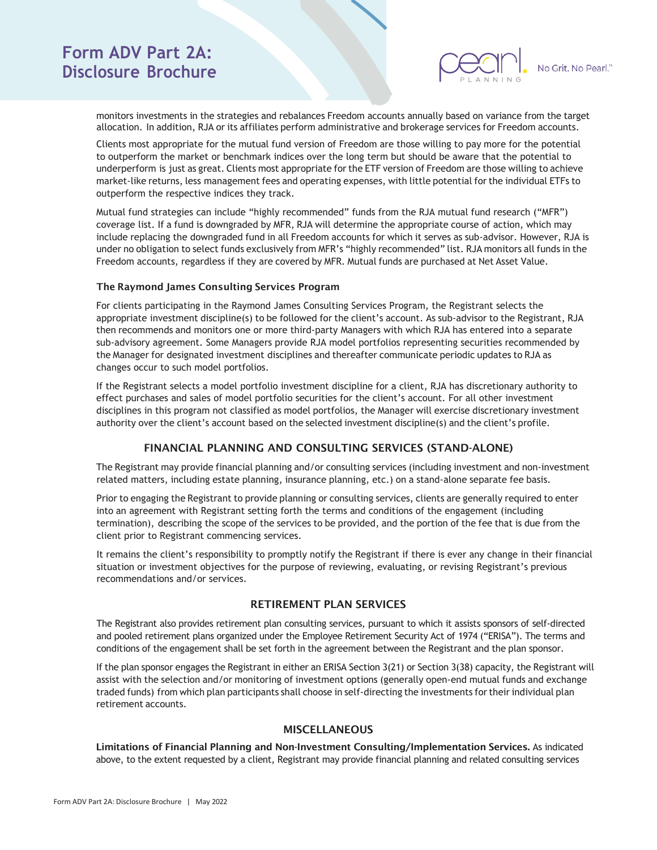

monitors investments in the strategies and rebalances Freedom accounts annually based on variance from the target allocation. In addition, RJA or its affiliates perform administrative and brokerage services for Freedom accounts.

Clients most appropriate for the mutual fund version of Freedom are those willing to pay more for the potential to outperform the market or benchmark indices over the long term but should be aware that the potential to underperform is just as great. Clients most appropriate for the ETF version of Freedom are those willing to achieve market-like returns, less management fees and operating expenses, with little potential forthe individual ETFs to outperform the respective indices they track.

Mutual fund strategies can include "highly recommended" funds from the RJA mutual fund research ("MFR") coverage list. If a fund is downgraded by MFR, RJA will determine the appropriate course of action, which may include replacing the downgraded fund in all Freedom accounts for which it serves as sub-advisor. However, RJA is under no obligation to select funds exclusively from MFR's "highly recommended" list. RJA monitors all funds in the Freedom accounts, regardless if they are covered by MFR. Mutual funds are purchased at Net Asset Value.

#### The Raymond James Consulting Services Program

For clients participating in the Raymond James Consulting Services Program, the Registrant selects the appropriate investment discipline(s) to be followed for the client's account. As sub-advisor to the Registrant, RJA then recommends and monitors one or more third-party Managers with which RJA has entered into a separate sub-advisory agreement. Some Managers provide RJA model portfolios representing securities recommended by the Manager for designated investment disciplines and thereafter communicate periodic updates to RJA as changes occur to such model portfolios.

If the Registrant selects a model portfolio investment discipline for a client, RJA has discretionary authority to effect purchases and sales of model portfolio securities for the client's account. For all other investment disciplines in this program not classified as model portfolios, the Manager will exercise discretionary investment authority over the client's account based on the selected investment discipline(s) and the client's profile.

### FINANCIAL PLANNING AND CONSULTING SERVICES (STAND-ALONE)

The Registrant may provide financial planning and/or consulting services (including investment and non-investment related matters, including estate planning, insurance planning, etc.) on a stand-alone separate fee basis.

Prior to engaging the Registrant to provide planning or consulting services, clients are generally required to enter into an agreement with Registrant setting forth the terms and conditions of the engagement (including termination), describing the scope of the services to be provided, and the portion of the fee that is due from the client prior to Registrant commencing services.

It remains the client's responsibility to promptly notify the Registrant if there is ever any change in their financial situation or investment objectives for the purpose of reviewing, evaluating, or revising Registrant's previous recommendations and/or services.

#### RETIREMENT PLAN SERVICES

The Registrant also provides retirement plan consulting services, pursuant to which it assists sponsors of self-directed and pooled retirement plans organized under the Employee Retirement Security Act of 1974 ("ERISA"). The terms and conditions of the engagement shall be set forth in the agreement between the Registrant and the plan sponsor.

If the plan sponsor engages the Registrant in either an ERISA Section 3(21) or Section 3(38) capacity, the Registrant will assist with the selection and/or monitoring of investment options (generally open-end mutual funds and exchange traded funds) from which plan participants shall choose in self-directing the investments fortheir individual plan retirement accounts.

#### **MISCELLANEOUS**

Limitations of Financial Planning and Non-Investment Consulting/Implementation Services. As indicated above, to the extent requested by a client, Registrant may provide financial planning and related consulting services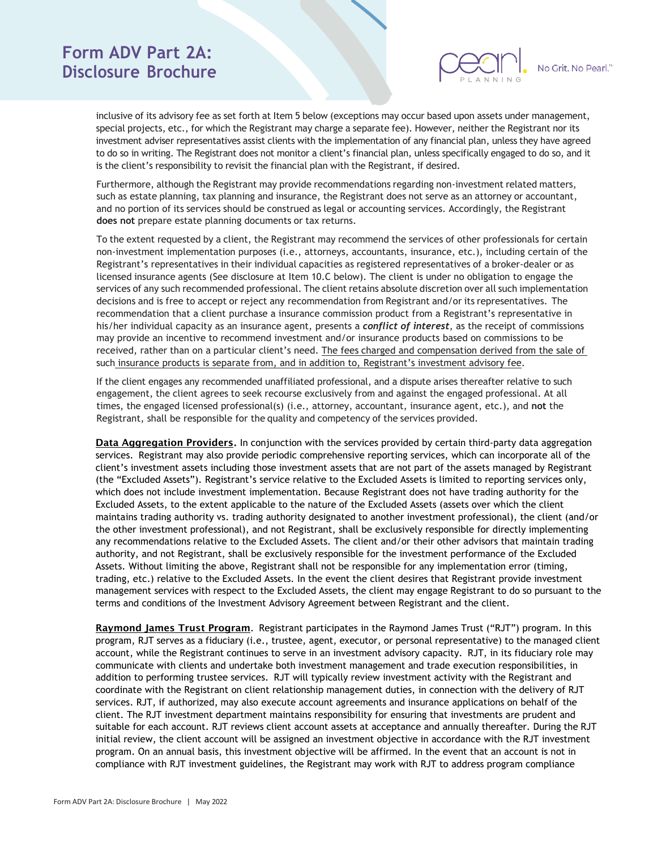

inclusive of its advisory fee as set forth at Item 5 below (exceptions may occur based upon assets under management, special projects, etc., for which the Registrant may charge a separate fee). However, neither the Registrant nor its investment adviser representatives assist clients with the implementation of any financial plan, unless they have agreed to do so in writing. The Registrant does not monitor a client's financial plan, unless specifically engaged to do so, and it is the client's responsibility to revisit the financial plan with the Registrant, if desired.

Furthermore, although the Registrant may provide recommendations regarding non-investment related matters, such as estate planning, tax planning and insurance, the Registrant does not serve as an attorney or accountant, and no portion of its services should be construed as legal or accounting services. Accordingly, the Registrant **does not** prepare estate planning documents or tax returns.

To the extent requested by a client, the Registrant may recommend the services of other professionals for certain non-investment implementation purposes (i.e., attorneys, accountants, insurance, etc.), including certain of the Registrant's representatives in their individual capacities as registered representatives of a broker-dealer or as licensed insurance agents (See disclosure at Item 10.C below). The client is under no obligation to engage the services of any such recommended professional. The client retains absolute discretion over all such implementation decisions and is free to accept or reject any recommendation from Registrant and/or its representatives. The recommendation that a client purchase a insurance commission product from a Registrant's representative in his/her individual capacity as an insurance agent, presents a *conflict of interest*, as the receipt of commissions may provide an incentive to recommend investment and/or insurance products based on commissions to be received, rather than on a particular client's need. The fees charged and compensation derived from the sale of such insurance products is separate from, and in addition to, Registrant's investment advisory fee.

If the client engages any recommended unaffiliated professional, and a dispute arises thereafter relative to such engagement, the client agrees to seek recourse exclusively from and against the engaged professional. At all times, the engaged licensed professional(s) (i.e., attorney, accountant, insurance agent, etc.), and **not** the Registrant, shall be responsible for the quality and competency of the services provided.

Data Aggregation Providers**.** In conjunction with the services provided by certain third-party data aggregation services. Registrant may also provide periodic comprehensive reporting services, which can incorporate all of the client's investment assets including those investment assets that are not part of the assets managed by Registrant (the "Excluded Assets"). Registrant's service relative to the Excluded Assets is limited to reporting services only, which does not include investment implementation. Because Registrant does not have trading authority for the Excluded Assets, to the extent applicable to the nature of the Excluded Assets (assets over which the client maintains trading authority vs. trading authority designated to another investment professional), the client (and/or the other investment professional), and not Registrant, shall be exclusively responsible for directly implementing any recommendations relative to the Excluded Assets. The client and/or their other advisors that maintain trading authority, and not Registrant, shall be exclusively responsible for the investment performance of the Excluded Assets. Without limiting the above, Registrant shall not be responsible for any implementation error (timing, trading, etc.) relative to the Excluded Assets. In the event the client desires that Registrant provide investment management services with respect to the Excluded Assets, the client may engage Registrant to do so pursuant to the terms and conditions of the Investment Advisory Agreement between Registrant and the client.

Raymond James Trust Program. Registrant participates in the Raymond James Trust ("RJT") program. In this program, RJT serves as a fiduciary (i.e., trustee, agent, executor, or personal representative) to the managed client account, while the Registrant continues to serve in an investment advisory capacity. RJT, in its fiduciary role may communicate with clients and undertake both investment management and trade execution responsibilities, in addition to performing trustee services. RJT will typically review investment activity with the Registrant and coordinate with the Registrant on client relationship management duties, in connection with the delivery of RJT services. RJT, if authorized, may also execute account agreements and insurance applications on behalf of the client. The RJT investment department maintains responsibility for ensuring that investments are prudent and suitable for each account. RJT reviews client account assets at acceptance and annually thereafter. During the RJT initial review, the client account will be assigned an investment objective in accordance with the RJT investment program. On an annual basis, this investment objective will be affirmed. In the event that an account is not in compliance with RJT investment guidelines, the Registrant may work with RJT to address program compliance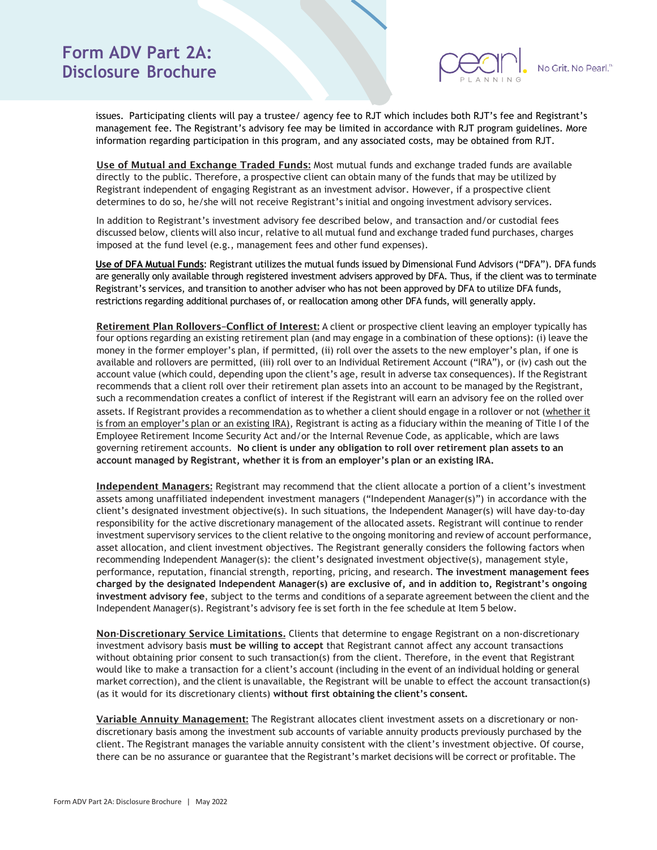

issues. Participating clients will pay a trustee/ agency fee to RJT which includes both RJT's fee and Registrant's management fee. The Registrant's advisory fee may be limited in accordance with RJT program guidelines. More information regarding participation in this program, and any associated costs, may be obtained from RJT.

Use of Mutual and Exchange Traded Funds: Most mutual funds and exchange traded funds are available directly to the public. Therefore, a prospective client can obtain many of the funds that may be utilized by Registrant independent of engaging Registrant as an investment advisor. However, if a prospective client determines to do so, he/she will not receive Registrant's initial and ongoing investment advisory services.

In addition to Registrant's investment advisory fee described below, and transaction and/or custodial fees discussed below, clients will also incur, relative to all mutual fund and exchange traded fund purchases, charges imposed at the fund level (e.g., management fees and other fund expenses).

**Use of DFA Mutual Funds**: Registrant utilizes the mutual funds issued by Dimensional Fund Advisors ("DFA"). DFA funds are generally only available through registered investment advisers approved by DFA. Thus, if the client was to terminate Registrant's services, and transition to another adviser who has not been approved by DFA to utilize DFA funds, restrictions regarding additional purchases of, or reallocation among other DFA funds, will generally apply.

Retirement Plan Rollovers-Conflict of Interest: A client or prospective client leaving an employer typically has four options regarding an existing retirement plan (and may engage in a combination of these options): (i) leave the money in the former employer's plan, if permitted, (ii) roll over the assets to the new employer's plan, if one is available and rollovers are permitted, (iii) roll over to an Individual Retirement Account ("IRA"), or (iv) cash out the account value (which could, depending upon the client's age, result in adverse tax consequences). If the Registrant recommends that a client roll over their retirement plan assets into an account to be managed by the Registrant, such a recommendation creates a conflict of interest if the Registrant will earn an advisory fee on the rolled over assets. If Registrant provides a recommendation as to whether a client should engage in a rollover or not (whether it is from an employer's plan or an existing IRA), Registrant is acting as a fiduciary within the meaning of Title I of the Employee Retirement Income Security Act and/or the Internal Revenue Code, as applicable, which are laws governing retirement accounts. **No client is under any obligation to roll over retirement plan assets to an account managed by Registrant, whether it is from an employer's plan or an existing IRA.**

Independent Managers: Registrant may recommend that the client allocate a portion of a client's investment assets among unaffiliated independent investment managers ("Independent Manager(s)") in accordance with the client's designated investment objective(s). In such situations, the Independent Manager(s) will have day-to-day responsibility for the active discretionary management of the allocated assets. Registrant will continue to render investment supervisory services to the client relative to the ongoing monitoring and review of account performance, asset allocation, and client investment objectives. The Registrant generally considers the following factors when recommending Independent Manager(s): the client's designated investment objective(s), management style, performance, reputation, financial strength, reporting, pricing, and research. **The investment management fees charged by the designated Independent Manager(s) are exclusive of, and in addition to, Registrant's ongoing investment advisory fee**, subject to the terms and conditions of a separate agreement between the client and the Independent Manager(s). Registrant's advisory fee is set forth in the fee schedule at Item 5 below.

Non-Discretionary Service Limitations. Clients that determine to engage Registrant on a non-discretionary investment advisory basis **must be willing to accept** that Registrant cannot affect any account transactions without obtaining prior consent to such transaction(s) from the client. Therefore, in the event that Registrant would like to make a transaction for a client's account (including in the event of an individual holding or general market correction), and the client is unavailable, the Registrant will be unable to effect the account transaction(s) (as it would for its discretionary clients) **without first obtaining the client's consent**.

Variable Annuity Management: The Registrant allocates client investment assets on a discretionary or nondiscretionary basis among the investment sub accounts of variable annuity products previously purchased by the client. The Registrant manages the variable annuity consistent with the client's investment objective. Of course, there can be no assurance or guarantee that the Registrant's market decisions will be correct or profitable. The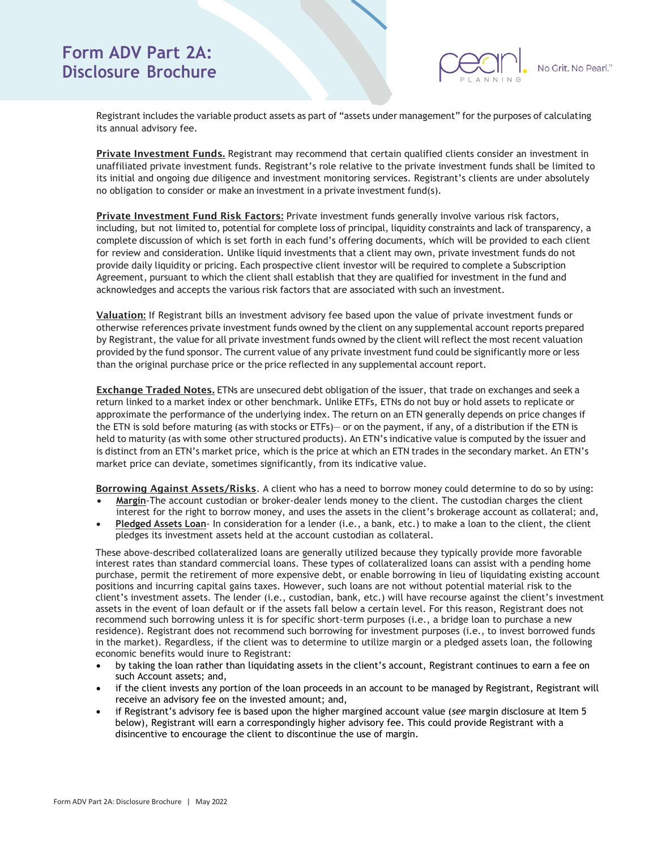

Registrant includes the variable product assets as part of "assets under management" for the purposes of calculating its annual advisory fee.

Private Investment Funds. Registrant may recommend that certain qualified clients consider an investment in unaffiliated private investment funds. Registrant's role relative to the private investment funds shall be limited to its initial and ongoing due diligence and investment monitoring services. Registrant's clients are under absolutely no obligation to consider or make an investment in a private investment fund(s).

Private Investment Fund Risk Factors: Private investment funds generally involve various risk factors, including, but not limited to, potential for complete loss of principal, liquidity constraints and lack of transparency, a complete discussion of which is set forth in each fund's offering documents, which will be provided to each client for review and consideration. Unlike liquid investments that a client may own, private investment funds do not provide daily liquidity or pricing. Each prospective client investor will be required to complete a Subscription Agreement, pursuant to which the client shall establish that they are qualified for investment in the fund and acknowledges and accepts the various risk factors that are associated with such an investment.

Valuation: If Registrant bills an investment advisory fee based upon the value of private investment funds or otherwise references private investment funds owned by the client on any supplemental account reports prepared by Registrant, the value for all private investment funds owned by the client will reflect the most recent valuation provided by the fund sponsor. The current value of any private investment fund could be significantly more or less than the original purchase price or the price reflected in any supplemental account report.

Exchange Traded Notes. ETNs are unsecured debt obligation of the issuer, that trade on exchanges and seek a return linked to a market index or other benchmark. Unlike ETFs, ETNs do not buy or hold assets to replicate or approximate the performance of the underlying index. The return on an ETN generally depends on price changes if the ETN is sold before maturing (as with stocks or ETFs)— or on the payment, if any, of a distribution if the ETN is held to maturity (as with some other structured products). An ETN's indicative value is computed by the issuer and is distinct from an ETN's market price, which is the price at which an ETN trades in the secondary market. An ETN's market price can deviate, sometimes significantly, from its indicative value.

Borrowing Against Assets/Risks. A client who has a need to borrow money could determine to do so by using:

- **Margin**-The account custodian or broker-dealer lends money to the client. The custodian charges the client interest for the right to borrow money, and uses the assets in the client's brokerage account as collateral; and,
- **Pledged Assets Loan** In consideration for a lender (i.e., a bank, etc.) to make a loan to the client, the client pledges its investment assets held at the account custodian as collateral.

These above-described collateralized loans are generally utilized because they typically provide more favorable interest rates than standard commercial loans. These types of collateralized loans can assist with a pending home purchase, permit the retirement of more expensive debt, or enable borrowing in lieu of liquidating existing account positions and incurring capital gains taxes. However, such loans are not without potential material risk to the client's investment assets. The lender (i.e., custodian, bank, etc.) will have recourse against the client's investment assets in the event of loan default or if the assets fall below a certain level. For this reason, Registrant does not recommend such borrowing unless it is for specific short-term purposes (i.e., a bridge loan to purchase a new residence). Registrant does not recommend such borrowing for investment purposes (i.e., to invest borrowed funds in the market). Regardless, if the client was to determine to utilize margin or a pledged assets loan, the following economic benefits would inure to Registrant:

- by taking the loan rather than liquidating assets in the client's account, Registrant continues to earn a fee on such Account assets; and,
- if the client invests any portion of the loan proceeds in an account to be managed by Registrant, Registrant will receive an advisory fee on the invested amount; and,
- if Registrant's advisory fee is based upon the higher margined account value (*see* margin disclosure at Item 5 below), Registrant will earn a correspondingly higher advisory fee. This could provide Registrant with a disincentive to encourage the client to discontinue the use of margin.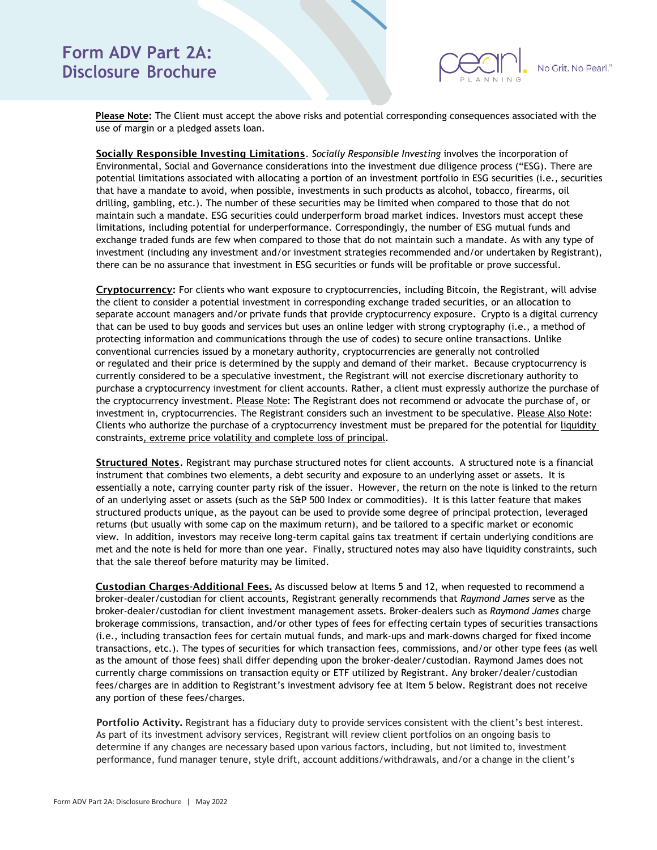

**Please Note:** The Client must accept the above risks and potential corresponding consequences associated with the use of margin or a pledged assets loan.

Socially Responsible Investing Limitations. *Socially Responsible Investing* involves the incorporation of Environmental, Social and Governance considerations into the investment due diligence process ("ESG). There are potential limitations associated with allocating a portion of an investment portfolio in ESG securities (i.e., securities that have a mandate to avoid, when possible, investments in such products as alcohol, tobacco, firearms, oil drilling, gambling, etc.). The number of these securities may be limited when compared to those that do not maintain such a mandate. ESG securities could underperform broad market indices. Investors must accept these limitations, including potential for underperformance. Correspondingly, the number of ESG mutual funds and exchange traded funds are few when compared to those that do not maintain such a mandate. As with any type of investment (including any investment and/or investment strategies recommended and/or undertaken by Registrant), there can be no assurance that investment in ESG securities or funds will be profitable or prove successful.

Cryptocurrency**:** For clients who want exposure to cryptocurrencies, including Bitcoin, the Registrant, will advise the client to consider a potential investment in corresponding exchange traded securities, or an allocation to separate account managers and/or private funds that provide cryptocurrency exposure. Crypto is a digital currency that can be used to buy goods and services but uses an online ledger with strong cryptography (i.e., a method of protecting information and communications through the use of codes) to secure online transactions. Unlike conventional currencies issued by a monetary authority, cryptocurrencies are generally not controlled or regulated and their price is determined by the supply and demand of their market. Because cryptocurrency is currently considered to be a speculative investment, the Registrant will not exercise discretionary authority to purchase a cryptocurrency investment for client accounts. Rather, a client must expressly authorize the purchase of the cryptocurrency investment. Please Note: The Registrant does not recommend or advocate the purchase of, or investment in, cryptocurrencies. The Registrant considers such an investment to be speculative. Please Also Note: Clients who authorize the purchase of a cryptocurrency investment must be prepared for the potential for liquidity constraints, extreme price volatility and complete loss of principal.

Structured Notes**.** Registrant may purchase structured notes for client accounts. A structured note is a financial instrument that combines two elements, a debt security and exposure to an underlying asset or assets. It is essentially a note, carrying counter party risk of the issuer. However, the return on the note is linked to the return of an underlying asset or assets (such as the S&P 500 Index or commodities). It is this latter feature that makes structured products unique, as the payout can be used to provide some degree of principal protection, leveraged returns (but usually with some cap on the maximum return), and be tailored to a specific market or economic view. In addition, investors may receive long-term capital gains tax treatment if certain underlying conditions are met and the note is held for more than one year. Finally, structured notes may also have liquidity constraints, such that the sale thereof before maturity may be limited.

Custodian Charges-Additional Fees. As discussed below at Items 5 and 12, when requested to recommend a broker-dealer/custodian for client accounts, Registrant generally recommends that *Raymond James* serve as the broker-dealer/custodian for client investment management assets. Broker-dealers such as *Raymond James* charge brokerage commissions, transaction, and/or other types of fees for effecting certain types of securities transactions (i.e., including transaction fees for certain mutual funds, and mark-ups and mark-downs charged for fixed income transactions, etc.). The types of securities for which transaction fees, commissions, and/or other type fees (as well as the amount of those fees) shall differ depending upon the broker-dealer/custodian. Raymond James does not currently charge commissions on transaction equity or ETF utilized by Registrant. Any broker/dealer/custodian fees/charges are in addition to Registrant's investment advisory fee at Item 5 below. Registrant does not receive any portion of these fees/charges.

Portfolio Activity. Registrant has a fiduciary duty to provide services consistent with the client's best interest. As part of its investment advisory services, Registrant will review client portfolios on an ongoing basis to determine if any changes are necessary based upon various factors, including, but not limited to, investment performance, fund manager tenure, style drift, account additions/withdrawals, and/or a change in the client's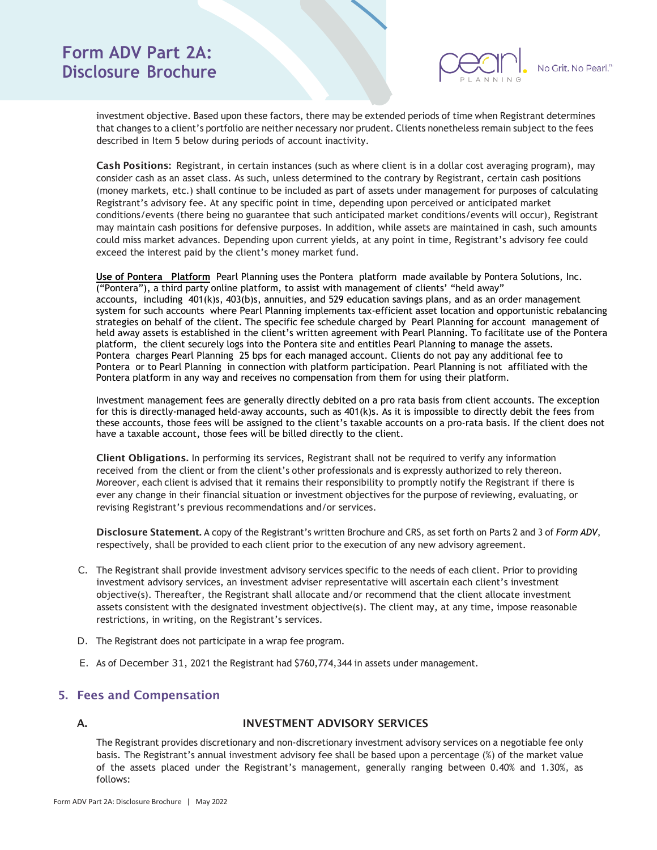

investment objective. Based upon these factors, there may be extended periods of time when Registrant determines that changes to a client's portfolio are neither necessary nor prudent. Clients nonetheless remain subject to the fees described in Item 5 below during periods of account inactivity.

Cash Positions: Registrant, in certain instances (such as where client is in a dollar cost averaging program), may consider cash as an asset class. As such, unless determined to the contrary by Registrant, certain cash positions (money markets, etc.) shall continue to be included as part of assets under management for purposes of calculating Registrant's advisory fee. At any specific point in time, depending upon perceived or anticipated market conditions/events (there being no guarantee that such anticipated market conditions/events will occur), Registrant may maintain cash positions for defensive purposes. In addition, while assets are maintained in cash, such amounts could miss market advances. Depending upon current yields, at any point in time, Registrant's advisory fee could exceed the interest paid by the client's money market fund.

**Use of Pontera Platform** Pearl Planning uses the Pontera platform made available by Pontera Solutions, Inc. ("Pontera"), a third party online platform, to assist with management of clients' "held away" accounts, including 401(k)s, 403(b)s, annuities, and 529 education savings plans, and as an order management system for such accounts where Pearl Planning implements tax-efficient asset location and opportunistic rebalancing strategies on behalf of the client. The specific fee schedule charged by Pearl Planning for account management of held away assets is established in the client's written agreement with Pearl Planning. To facilitate use of the Pontera platform, the client securely logs into the Pontera site and entitles Pearl Planning to manage the assets. Pontera charges Pearl Planning 25 bps for each managed account. Clients do not pay any additional fee to Pontera or to Pearl Planning in connection with platform participation. Pearl Planning is not affiliated with the Pontera platform in any way and receives no compensation from them for using their platform.

Investment management fees are generally directly debited on a pro rata basis from client accounts. The exception for this is directly-managed held-away accounts, such as 401(k)s. As it is impossible to directly debit the fees from these accounts, those fees will be assigned to the client's taxable accounts on a pro-rata basis. If the client does not have a taxable account, those fees will be billed directly to the client.

Client Obligations. In performing its services, Registrant shall not be required to verify any information received from the client or from the client's other professionals and is expressly authorized to rely thereon. Moreover, each client is advised that it remains their responsibility to promptly notify the Registrant if there is ever any change in their financial situation or investment objectives for the purpose of reviewing, evaluating, or revising Registrant's previous recommendations and/or services.

Disclosure Statement. A copy of the Registrant's written Brochure and CRS, as set forth on Parts 2 and 3 of *Form ADV*, respectively, shall be provided to each client prior to the execution of any new advisory agreement.

- C. The Registrant shall provide investment advisory services specific to the needs of each client. Prior to providing investment advisory services, an investment adviser representative will ascertain each client's investment objective(s). Thereafter, the Registrant shall allocate and/or recommend that the client allocate investment assets consistent with the designated investment objective(s). The client may, at any time, impose reasonable restrictions, in writing, on the Registrant's services.
- D. The Registrant does not participate in a wrap fee program.
- E. As of December 31, 2021 the Registrant had \$760,774,344 in assets under management.

### <span id="page-7-0"></span>5. Fees and Compensation

#### A. INVESTMENT ADVISORY SERVICES

The Registrant provides discretionary and non-discretionary investment advisory services on a negotiable fee only basis. The Registrant's annual investment advisory fee shall be based upon a percentage (%) of the market value of the assets placed under the Registrant's management, generally ranging between 0.40% and 1.30%, as follows: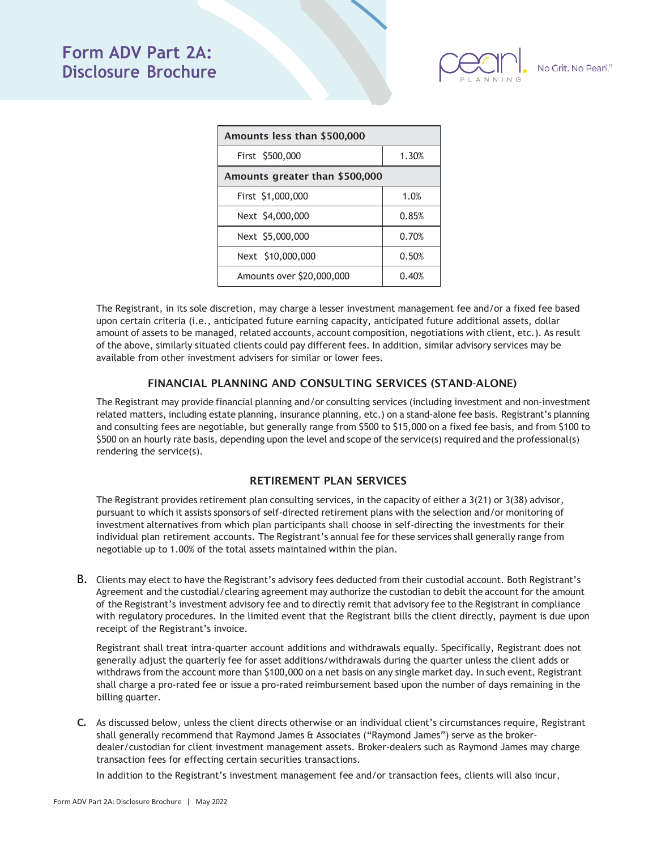

| Amounts less than \$500,000    |       |  |  |
|--------------------------------|-------|--|--|
| First \$500,000                | 1.30% |  |  |
| Amounts greater than \$500,000 |       |  |  |
| First \$1,000,000              | 1.0%  |  |  |
| Next \$4,000,000               | 0.85% |  |  |
| Next \$5,000,000               | 0.70% |  |  |
| Next \$10,000,000              | 0.50% |  |  |
| Amounts over \$20,000,000      | 0.40% |  |  |

The Registrant, in its sole discretion, may charge a lesser investment management fee and/or a fixed fee based upon certain criteria (i.e., anticipated future earning capacity, anticipated future additional assets, dollar amount of assets to be managed, related accounts, account composition, negotiations with client, etc.). As result of the above, similarly situated clients could pay different fees. In addition, similar advisory services may be available from other investment advisers for similar or lower fees.

#### FINANCIAL PLANNING AND CONSULTING SERVICES (STAND-ALONE)

The Registrant may provide financial planning and/or consulting services (including investment and non-investment related matters, including estate planning, insurance planning, etc.) on a stand-alone fee basis. Registrant's planning and consulting fees are negotiable, but generally range from \$500 to \$15,000 on a fixed fee basis, and from \$100 to \$500 on an hourly rate basis, depending upon the level and scope of the service(s) required and the professional(s) rendering the service(s).

#### RETIREMENT PLAN SERVICES

The Registrant provides retirement plan consulting services, in the capacity of either a 3(21) or 3(38) advisor, pursuant to which it assists sponsors of self-directed retirement plans with the selection and/or monitoring of investment alternatives from which plan participants shall choose in self-directing the investments for their individual plan retirement accounts. The Registrant's annual fee for these services shall generally range from negotiable up to 1.00% of the total assets maintained within the plan.

B. Clients may elect to have the Registrant's advisory fees deducted from their custodial account. Both Registrant's Agreement and the custodial/clearing agreement may authorize the custodian to debit the account for the amount of the Registrant's investment advisory fee and to directly remit that advisory fee to the Registrant in compliance with regulatory procedures. In the limited event that the Registrant bills the client directly, payment is due upon receipt of the Registrant's invoice.

Registrant shall treat intra-quarter account additions and withdrawals equally. Specifically, Registrant does not generally adjust the quarterly fee for asset additions/withdrawals during the quarter unless the client adds or withdraws from the account more than \$100,000 on a net basis on any single market day. In such event, Registrant shall charge a pro-rated fee or issue a pro-rated reimbursement based upon the number of days remaining in the billing quarter.

C. As discussed below, unless the client directs otherwise or an individual client's circumstances require, Registrant shall generally recommend that Raymond James & Associates ("Raymond James") serve as the brokerdealer/custodian for client investment management assets. Broker-dealers such as Raymond James may charge transaction fees for effecting certain securities transactions.

In addition to the Registrant's investment management fee and/or transaction fees, clients will also incur,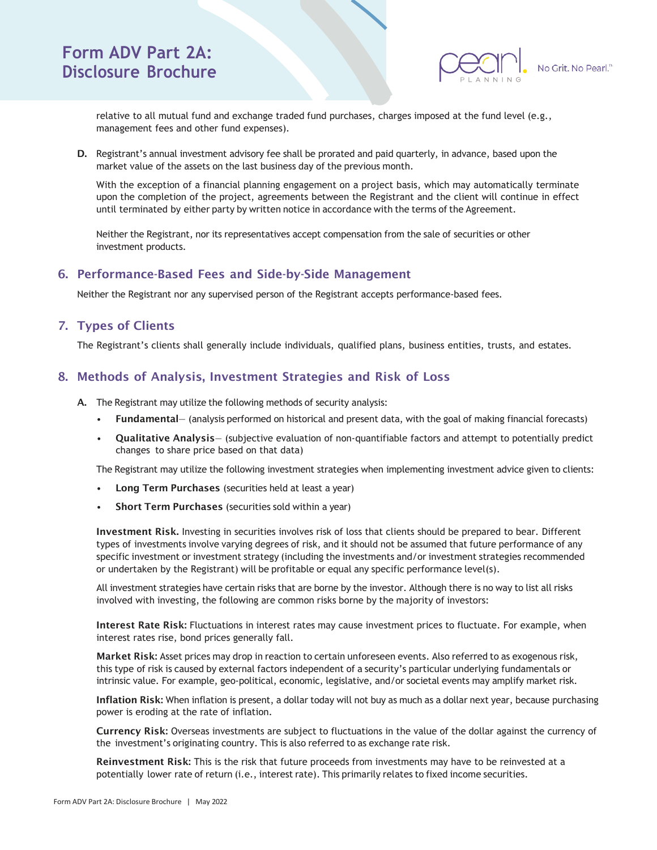

relative to all mutual fund and exchange traded fund purchases, charges imposed at the fund level (e.g., management fees and other fund expenses).

D. Registrant's annual investment advisory fee shall be prorated and paid quarterly, in advance, based upon the market value of the assets on the last business day of the previous month.

With the exception of a financial planning engagement on a project basis, which may automatically terminate upon the completion of the project, agreements between the Registrant and the client will continue in effect until terminated by either party by written notice in accordance with the terms of the Agreement.

Neither the Registrant, nor its representatives accept compensation from the sale of securities or other investment products.

### <span id="page-9-0"></span>6. Performance-Based Fees and Side-by-Side Management

Neither the Registrant nor any supervised person of the Registrant accepts performance-based fees.

### <span id="page-9-1"></span>7. Types of Clients

The Registrant's clients shall generally include individuals, qualified plans, business entities, trusts, and estates.

### <span id="page-9-2"></span>8. Methods of Analysis, Investment Strategies and Risk of Loss

- A. The Registrant may utilize the following methods of security analysis:
	- Fundamental— (analysis performed on historical and present data, with the goal of making financial forecasts)
	- Qualitative Analysis— (subjective evaluation of non-quantifiable factors and attempt to potentially predict changes to share price based on that data)

The Registrant may utilize the following investment strategies when implementing investment advice given to clients:

- Long Term Purchases (securities held at least a year)
- Short Term Purchases (securities sold within a year)

Investment Risk. Investing in securities involves risk of loss that clients should be prepared to bear. Different types of investments involve varying degrees of risk, and it should not be assumed that future performance of any specific investment or investment strategy (including the investments and/or investment strategies recommended or undertaken by the Registrant) will be profitable or equal any specific performance level(s).

All investment strategies have certain risks that are borne by the investor. Although there is no way to list all risks involved with investing, the following are common risks borne by the majority of investors:

Interest Rate Risk: Fluctuations in interest rates may cause investment prices to fluctuate. For example, when interest rates rise, bond prices generally fall.

Market Risk: Asset prices may drop in reaction to certain unforeseen events. Also referred to as exogenous risk, this type of risk is caused by external factors independent of a security's particular underlying fundamentals or intrinsic value. For example, geo-political, economic, legislative, and/or societal events may amplify market risk.

Inflation Risk: When inflation is present, a dollar today will not buy as much as a dollar next year, because purchasing power is eroding at the rate of inflation.

Currency Risk: Overseas investments are subject to fluctuations in the value of the dollar against the currency of the investment's originating country. This is also referred to as exchange rate risk.

Reinvestment Risk: This is the risk that future proceeds from investments may have to be reinvested at a potentially lower rate of return (i.e., interest rate). This primarily relates to fixed income securities.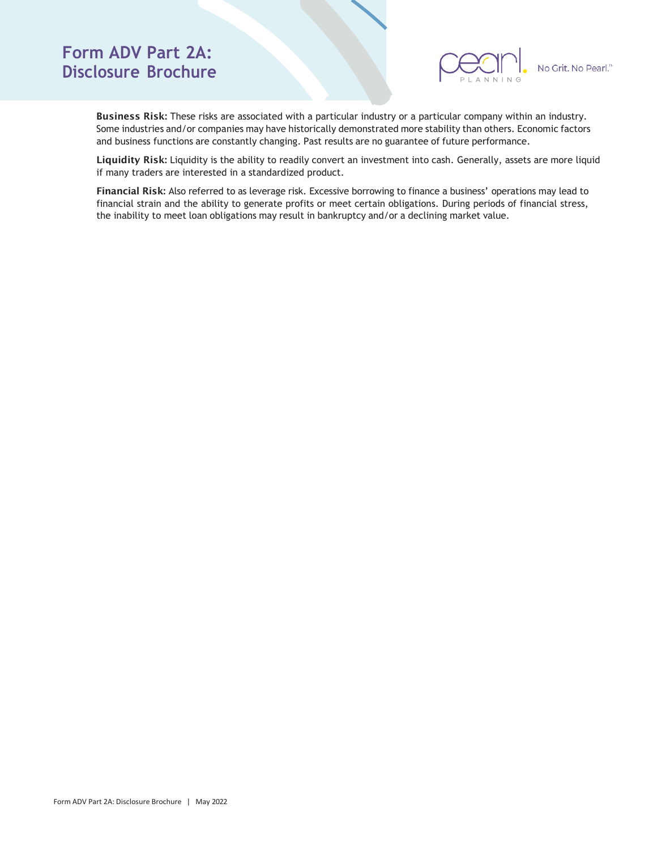

Business Risk: These risks are associated with a particular industry or a particular company within an industry. Some industries and/or companies may have historically demonstrated more stability than others. Economic factors and business functions are constantly changing. Past results are no guarantee of future performance.

Liquidity Risk: Liquidity is the ability to readily convert an investment into cash. Generally, assets are more liquid if many traders are interested in a standardized product.

Financial Risk: Also referred to as leverage risk. Excessive borrowing to finance a business' operations may lead to financial strain and the ability to generate profits or meet certain obligations. During periods of financial stress, the inability to meet loan obligations may result in bankruptcy and/or a declining market value.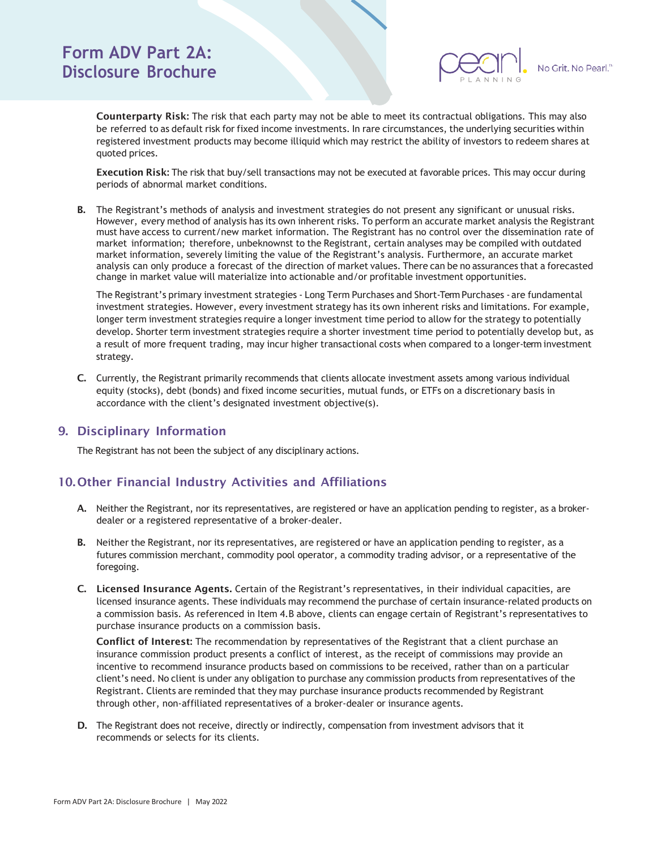

Counterparty Risk: The risk that each party may not be able to meet its contractual obligations. This may also be referred to as default risk for fixed income investments. In rare circumstances, the underlying securities within registered investment products may become illiquid which may restrict the ability of investors to redeem shares at quoted prices.

Execution Risk: The risk that buy/sell transactions may not be executed at favorable prices. This may occur during periods of abnormal market conditions.

B. The Registrant's methods of analysis and investment strategies do not present any significant or unusual risks. However, every method of analysis has its own inherent risks. To perform an accurate market analysis the Registrant must have access to current/new market information. The Registrant has no control over the dissemination rate of market information; therefore, unbeknownst to the Registrant, certain analyses may be compiled with outdated market information, severely limiting the value of the Registrant's analysis. Furthermore, an accurate market analysis can only produce a forecast of the direction of market values. There can be no assurances that a forecasted change in market value will materialize into actionable and/or profitable investment opportunities.

The Registrant's primary investment strategies - Long Term Purchases and Short-Term Purchases - are fundamental investment strategies. However, every investment strategy has its own inherent risks and limitations. For example, longer term investment strategies require a longer investment time period to allow for the strategy to potentially develop. Shorter term investment strategies require a shorter investment time period to potentially develop but, as a result of more frequent trading, may incur higher transactional costs when compared to a longer-term investment strategy.

C. Currently, the Registrant primarily recommends that clients allocate investment assets among various individual equity (stocks), debt (bonds) and fixed income securities, mutual funds, or ETFs on a discretionary basis in accordance with the client's designated investment objective(s).

### <span id="page-11-0"></span>9. Disciplinary Information

The Registrant has not been the subject of any disciplinary actions.

### <span id="page-11-1"></span>10.Other Financial Industry Activities and Affiliations

- A. Neither the Registrant, nor its representatives, are registered or have an application pending to register, as a brokerdealer or a registered representative of a broker-dealer.
- B. Neither the Registrant, nor its representatives, are registered or have an application pending to register, as a futures commission merchant, commodity pool operator, a commodity trading advisor, or a representative of the foregoing.
- C. Licensed Insurance Agents. Certain of the Registrant's representatives, in their individual capacities, are licensed insurance agents. These individuals may recommend the purchase of certain insurance-related products on a commission basis. As referenced in Item 4.B above, clients can engage certain of Registrant's representatives to purchase insurance products on a commission basis.

Conflict of Interest: The recommendation by representatives of the Registrant that a client purchase an insurance commission product presents a conflict of interest, as the receipt of commissions may provide an incentive to recommend insurance products based on commissions to be received, rather than on a particular client's need. No client is under any obligation to purchase any commission products from representatives of the Registrant. Clients are reminded that they may purchase insurance products recommended by Registrant through other, non-affiliated representatives of a broker-dealer or insurance agents.

D. The Registrant does not receive, directly or indirectly, compensation from investment advisors that it recommends or selects for its clients.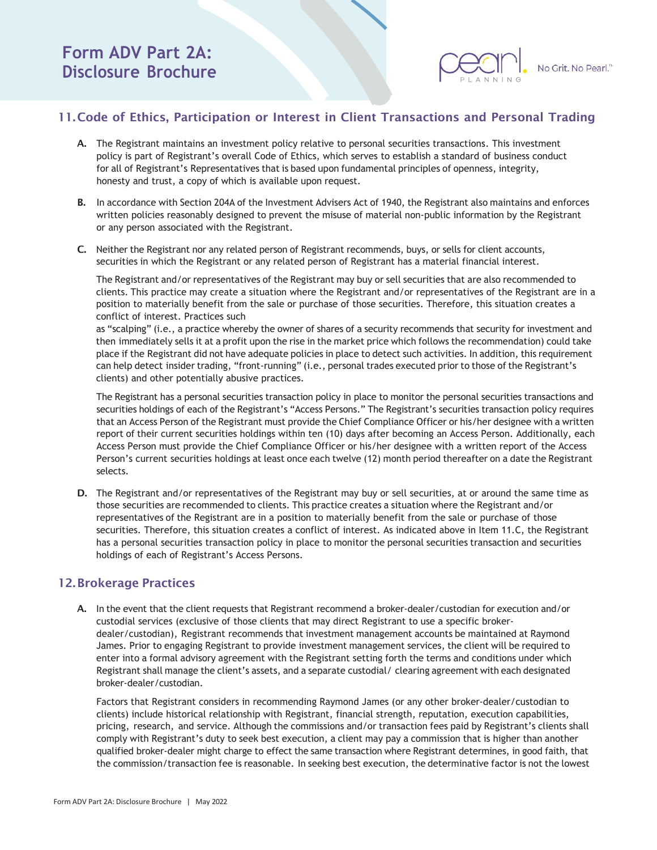

### <span id="page-12-0"></span>11.Code of Ethics, Participation or Interest in Client Transactions and Personal Trading

- A. The Registrant maintains an investment policy relative to personal securities transactions. This investment policy is part of Registrant's overall Code of Ethics, which serves to establish a standard of business conduct for all of Registrant's Representatives that is based upon fundamental principles of openness, integrity, honesty and trust, a copy of which is available upon request.
- B. In accordance with Section 204A of the Investment Advisers Act of 1940, the Registrant also maintains and enforces written policies reasonably designed to prevent the misuse of material non-public information by the Registrant or any person associated with the Registrant.
- C. Neither the Registrant nor any related person of Registrant recommends, buys, or sells for client accounts, securities in which the Registrant or any related person of Registrant has a material financial interest.

The Registrant and/or representatives of the Registrant may buy or sell securities that are also recommended to clients. This practice may create a situation where the Registrant and/or representatives of the Registrant are in a position to materially benefit from the sale or purchase of those securities. Therefore, this situation creates a conflict of interest. Practices such

as "scalping" (i.e., a practice whereby the owner of shares of a security recommends that security for investment and then immediately sells it at a profit upon the rise in the market price which follows the recommendation) could take place if the Registrant did not have adequate policies in place to detect such activities. In addition, this requirement can help detect insider trading, "front-running" (i.e., personal trades executed prior to those of the Registrant's clients) and other potentially abusive practices.

The Registrant has a personal securities transaction policy in place to monitor the personal securities transactions and securities holdings of each of the Registrant's "Access Persons." The Registrant's securities transaction policy requires that an Access Person of the Registrant must provide the Chief Compliance Officer or his/her designee with a written report of their current securities holdings within ten (10) days after becoming an Access Person. Additionally, each Access Person must provide the Chief Compliance Officer or his/her designee with a written report of the Access Person's current securities holdings at least once each twelve (12) month period thereafter on a date the Registrant selects.

D. The Registrant and/or representatives of the Registrant may buy or sell securities, at or around the same time as those securities are recommended to clients. This practice creates a situation where the Registrant and/or representatives of the Registrant are in a position to materially benefit from the sale or purchase of those securities. Therefore, this situation creates a conflict of interest. As indicated above in Item 11.C, the Registrant has a personal securities transaction policy in place to monitor the personal securities transaction and securities holdings of each of Registrant's Access Persons.

### <span id="page-12-1"></span>12.Brokerage Practices

A. In the event that the client requests that Registrant recommend a broker-dealer/custodian for execution and/or custodial services (exclusive of those clients that may direct Registrant to use a specific brokerdealer/custodian), Registrant recommends that investment management accounts be maintained at Raymond James. Prior to engaging Registrant to provide investment management services, the client will be required to enter into a formal advisory agreement with the Registrant setting forth the terms and conditions under which Registrant shall manage the client's assets, and a separate custodial/ clearing agreement with each designated broker-dealer/custodian.

Factors that Registrant considers in recommending Raymond James (or any other broker-dealer/custodian to clients) include historical relationship with Registrant, financial strength, reputation, execution capabilities, pricing, research, and service. Although the commissions and/or transaction fees paid by Registrant's clients shall comply with Registrant's duty to seek best execution, a client may pay a commission that is higher than another qualified broker-dealer might charge to effect the same transaction where Registrant determines, in good faith, that the commission/transaction fee is reasonable. In seeking best execution, the determinative factor is not the lowest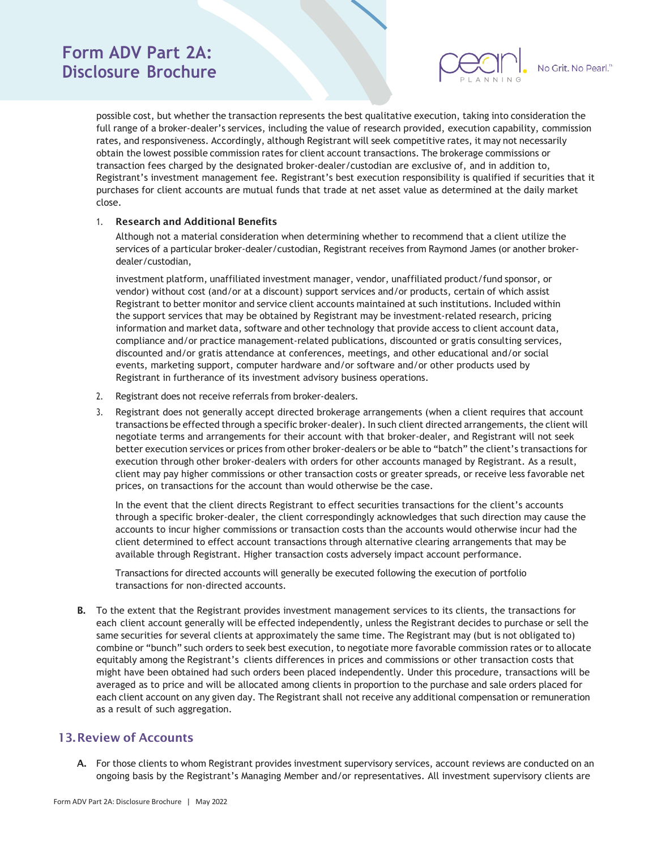

possible cost, but whether the transaction represents the best qualitative execution, taking into consideration the full range of a broker-dealer's services, including the value of research provided, execution capability, commission rates, and responsiveness. Accordingly, although Registrant will seek competitive rates, it may not necessarily obtain the lowest possible commission rates for client account transactions. The brokerage commissions or transaction fees charged by the designated broker-dealer/custodian are exclusive of, and in addition to, Registrant's investment management fee. Registrant's best execution responsibility is qualified if securities that it purchases for client accounts are mutual funds that trade at net asset value as determined at the daily market close.

#### 1. Research and Additional Benefits

Although not a material consideration when determining whether to recommend that a client utilize the services of a particular broker-dealer/custodian, Registrant receives from Raymond James (or another brokerdealer/custodian,

investment platform, unaffiliated investment manager, vendor, unaffiliated product/fund sponsor, or vendor) without cost (and/or at a discount) support services and/or products, certain of which assist Registrant to better monitor and service client accounts maintained at such institutions. Included within the support services that may be obtained by Registrant may be investment-related research, pricing information and market data, software and other technology that provide access to client account data, compliance and/or practice management-related publications, discounted or gratis consulting services, discounted and/or gratis attendance at conferences, meetings, and other educational and/or social events, marketing support, computer hardware and/or software and/or other products used by Registrant in furtherance of its investment advisory business operations.

- 2. Registrant does not receive referrals from broker-dealers.
- 3. Registrant does not generally accept directed brokerage arrangements (when a client requires that account transactions be effected through a specific broker-dealer). In such client directed arrangements, the client will negotiate terms and arrangements for their account with that broker-dealer, and Registrant will not seek better execution services or prices from other broker-dealers or be able to "batch" the client's transactions for execution through other broker-dealers with orders for other accounts managed by Registrant. As a result, client may pay higher commissions or other transaction costs or greater spreads, or receive less favorable net prices, on transactions for the account than would otherwise be the case.

In the event that the client directs Registrant to effect securities transactions for the client's accounts through a specific broker-dealer, the client correspondingly acknowledges that such direction may cause the accounts to incur higher commissions or transaction costs than the accounts would otherwise incur had the client determined to effect account transactions through alternative clearing arrangements that may be available through Registrant. Higher transaction costs adversely impact account performance.

Transactions for directed accounts will generally be executed following the execution of portfolio transactions for non-directed accounts.

B. To the extent that the Registrant provides investment management services to its clients, the transactions for each client account generally will be effected independently, unless the Registrant decides to purchase or sell the same securities for several clients at approximately the same time. The Registrant may (but is not obligated to) combine or "bunch" such orders to seek best execution, to negotiate more favorable commission rates or to allocate equitably among the Registrant's clients differences in prices and commissions or other transaction costs that might have been obtained had such orders been placed independently. Under this procedure, transactions will be averaged as to price and will be allocated among clients in proportion to the purchase and sale orders placed for each client account on any given day. The Registrant shall not receive any additional compensation or remuneration as a result of such aggregation.

### <span id="page-13-0"></span>13.Review of Accounts

A. For those clients to whom Registrant provides investment supervisory services, account reviews are conducted on an ongoing basis by the Registrant's Managing Member and/or representatives. All investment supervisory clients are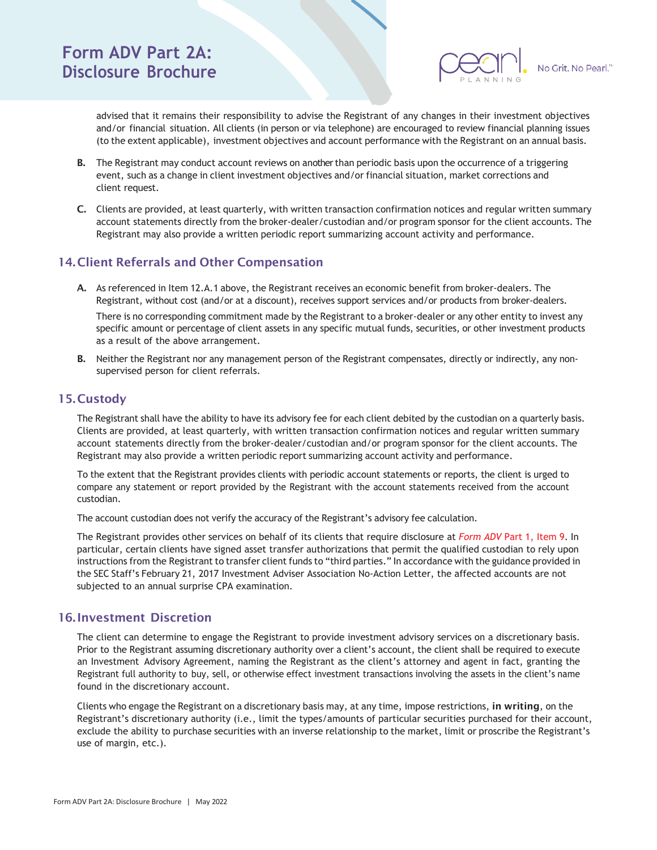

advised that it remains their responsibility to advise the Registrant of any changes in their investment objectives and/or financial situation. All clients (in person or via telephone) are encouraged to review financial planning issues (to the extent applicable), investment objectives and account performance with the Registrant on an annual basis.

- B. The Registrant may conduct account reviews on another than periodic basis upon the occurrence of a triggering event, such as a change in client investment objectives and/or financial situation, market corrections and client request.
- C. Clients are provided, at least quarterly, with written transaction confirmation notices and regular written summary account statements directly from the broker-dealer/custodian and/or program sponsor for the client accounts. The Registrant may also provide a written periodic report summarizing account activity and performance.

### <span id="page-14-0"></span>14.Client Referrals and Other Compensation

- A. As referenced in Item 12.A.1 above, the Registrant receives an economic benefit from broker-dealers. The Registrant, without cost (and/or at a discount), receives support services and/or products from broker-dealers. There is no corresponding commitment made by the Registrant to a broker-dealer or any other entity to invest any specific amount or percentage of client assets in any specific mutual funds, securities, or other investment products as a result of the above arrangement.
- B. Neither the Registrant nor any management person of the Registrant compensates, directly or indirectly, any nonsupervised person for client referrals.

### <span id="page-14-1"></span>15.Custody

The Registrant shall have the ability to have its advisory fee for each client debited by the custodian on a quarterly basis. Clients are provided, at least quarterly, with written transaction confirmation notices and regular written summary account statements directly from the broker-dealer/custodian and/or program sponsor for the client accounts. The Registrant may also provide a written periodic report summarizing account activity and performance.

To the extent that the Registrant provides clients with periodic account statements or reports, the client is urged to compare any statement or report provided by the Registrant with the account statements received from the account custodian.

The account custodian does not verify the accuracy of the Registrant's advisory fee calculation.

The Registrant provides other services on behalf of its clients that require disclosure at *Form ADV* Part 1, Item 9. In particular, certain clients have signed asset transfer authorizations that permit the qualified custodian to rely upon instructions from the Registrant to transfer client funds to "third parties." In accordance with the guidance provided in the SEC Staff's February 21, 2017 Investment Adviser Association No-Action Letter, the affected accounts are not subjected to an annual surprise CPA examination.

### <span id="page-14-2"></span>16.Investment Discretion

The client can determine to engage the Registrant to provide investment advisory services on a discretionary basis. Prior to the Registrant assuming discretionary authority over a client's account, the client shall be required to execute an Investment Advisory Agreement, naming the Registrant as the client's attorney and agent in fact, granting the Registrant full authority to buy, sell, or otherwise effect investment transactions involving the assets in the client's name found in the discretionary account.

Clients who engage the Registrant on a discretionary basis may, at any time, impose restrictions, in writing, on the Registrant's discretionary authority (i.e., limit the types/amounts of particular securities purchased for their account, exclude the ability to purchase securities with an inverse relationship to the market, limit or proscribe the Registrant's use of margin, etc.).